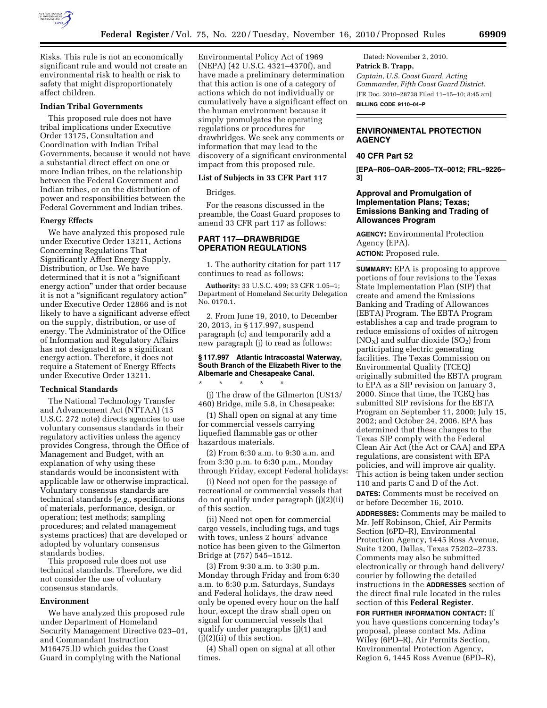

Risks. This rule is not an economically significant rule and would not create an environmental risk to health or risk to safety that might disproportionately affect children.

#### **Indian Tribal Governments**

This proposed rule does not have tribal implications under Executive Order 13175, Consultation and Coordination with Indian Tribal Governments, because it would not have a substantial direct effect on one or more Indian tribes, on the relationship between the Federal Government and Indian tribes, or on the distribution of power and responsibilities between the Federal Government and Indian tribes.

#### **Energy Effects**

We have analyzed this proposed rule under Executive Order 13211, Actions Concerning Regulations That Significantly Affect Energy Supply, Distribution, or Use. We have determined that it is not a ''significant energy action'' under that order because it is not a "significant regulatory action" under Executive Order 12866 and is not likely to have a significant adverse effect on the supply, distribution, or use of energy. The Administrator of the Office of Information and Regulatory Affairs has not designated it as a significant energy action. Therefore, it does not require a Statement of Energy Effects under Executive Order 13211.

#### **Technical Standards**

The National Technology Transfer and Advancement Act (NTTAA) (15 U.S.C. 272 note) directs agencies to use voluntary consensus standards in their regulatory activities unless the agency provides Congress, through the Office of Management and Budget, with an explanation of why using these standards would be inconsistent with applicable law or otherwise impractical. Voluntary consensus standards are technical standards (*e.g.,* specifications of materials, performance, design, or operation; test methods; sampling procedures; and related management systems practices) that are developed or adopted by voluntary consensus standards bodies.

This proposed rule does not use technical standards. Therefore, we did not consider the use of voluntary consensus standards.

#### **Environment**

We have analyzed this proposed rule under Department of Homeland Security Management Directive 023–01, and Commandant Instruction M16475.lD which guides the Coast Guard in complying with the National

Environmental Policy Act of 1969 (NEPA) (42 U.S.C. 4321–4370f), and have made a preliminary determination that this action is one of a category of actions which do not individually or cumulatively have a significant effect on the human environment because it simply promulgates the operating regulations or procedures for drawbridges. We seek any comments or information that may lead to the discovery of a significant environmental impact from this proposed rule.

# **List of Subjects in 33 CFR Part 117**

Bridges.

For the reasons discussed in the preamble, the Coast Guard proposes to amend 33 CFR part 117 as follows:

## **PART 117—DRAWBRIDGE OPERATION REGULATIONS**

1. The authority citation for part 117 continues to read as follows:

**Authority:** 33 U.S.C. 499; 33 CFR 1.05–1; Department of Homeland Security Delegation No. 0170.1.

2. From June 19, 2010, to December 20, 2013, in § 117.997, suspend paragraph (c) and temporarily add a new paragraph (j) to read as follows:

## **§ 117.997 Atlantic Intracoastal Waterway, South Branch of the Elizabeth River to the Albemarle and Chesapeake Canal.**

(j) The draw of the Gilmerton (US13/ 460) Bridge, mile 5.8, in Chesapeake:

\* \* \* \* \*

(1) Shall open on signal at any time for commercial vessels carrying liquefied flammable gas or other hazardous materials.

(2) From 6:30 a.m. to 9:30 a.m. and from 3:30 p.m. to 6:30 p.m., Monday through Friday, except Federal holidays:

(i) Need not open for the passage of recreational or commercial vessels that do not qualify under paragraph (j)(2)(ii) of this section.

(ii) Need not open for commercial cargo vessels, including tugs, and tugs with tows, unless 2 hours' advance notice has been given to the Gilmerton Bridge at (757) 545–1512.

(3) From 9:30 a.m. to 3:30 p.m. Monday through Friday and from 6:30 a.m. to 6:30 p.m. Saturdays, Sundays and Federal holidays, the draw need only be opened every hour on the half hour, except the draw shall open on signal for commercial vessels that qualify under paragraphs (j)(1) and (j)(2)(ii) of this section.

(4) Shall open on signal at all other times.

Dated: November 2, 2010. **Patrick B. Trapp,**  *Captain, U.S. Coast Guard, Acting Commander, Fifth Coast Guard District.*  [FR Doc. 2010–28738 Filed 11–15–10; 8:45 am] **BILLING CODE 9110–04–P** 

# **ENVIRONMENTAL PROTECTION AGENCY**

# **40 CFR Part 52**

**[EPA–R06–OAR–2005–TX–0012; FRL–9226– 3]** 

# **Approval and Promulgation of Implementation Plans; Texas; Emissions Banking and Trading of Allowances Program**

**AGENCY:** Environmental Protection Agency (EPA). **ACTION:** Proposed rule.

**SUMMARY:** EPA is proposing to approve portions of four revisions to the Texas State Implementation Plan (SIP) that create and amend the Emissions Banking and Trading of Allowances (EBTA) Program. The EBTA Program establishes a cap and trade program to reduce emissions of oxides of nitrogen  $NO<sub>X</sub>$ ) and sulfur dioxide  $SO<sub>2</sub>$ ) from participating electric generating facilities. The Texas Commission on Environmental Quality (TCEQ) originally submitted the EBTA program to EPA as a SIP revision on January 3, 2000. Since that time, the TCEQ has submitted SIP revisions for the EBTA Program on September 11, 2000; July 15, 2002; and October 24, 2006. EPA has determined that these changes to the Texas SIP comply with the Federal Clean Air Act (the Act or CAA) and EPA regulations, are consistent with EPA policies, and will improve air quality. This action is being taken under section 110 and parts C and D of the Act.

**DATES:** Comments must be received on or before December 16, 2010.

**ADDRESSES:** Comments may be mailed to Mr. Jeff Robinson, Chief, Air Permits Section (6PD–R), Environmental Protection Agency, 1445 Ross Avenue, Suite 1200, Dallas, Texas 75202–2733. Comments may also be submitted electronically or through hand delivery/ courier by following the detailed instructions in the **ADDRESSES** section of the direct final rule located in the rules section of this **Federal Register**.

**FOR FURTHER INFORMATION CONTACT:** If you have questions concerning today's proposal, please contact Ms. Adina Wiley (6PD–R), Air Permits Section, Environmental Protection Agency, Region 6, 1445 Ross Avenue (6PD–R),